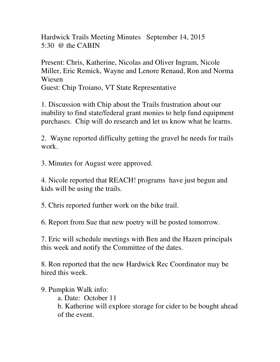Hardwick Trails Meeting Minutes September 14, 2015 5:30  $\omega$  the CABIN

Present: Chris, Katherine, Nicolas and Oliver Ingram, Nicole Miller, Eric Remick, Wayne and Lenore Renaud, Ron and Norma Wiesen

Guest: Chip Troiano, VT State Representative

1. Discussion with Chip about the Trails frustration about our inability to find state/federal grant monies to help fund equipment purchases. Chip will do research and let us know what he learns.

2. Wayne reported difficulty getting the gravel he needs for trails work.

3. Minutes for August were approved.

4. Nicole reported that REACH! programs have just begun and kids will be using the trails.

5. Chris reported further work on the bike trail.

6. Report from Sue that new poetry will be posted tomorrow.

7. Eric will schedule meetings with Ben and the Hazen principals this week and notify the Committee of the dates.

8. Ron reported that the new Hardwick Rec Coordinator may be hired this week.

9. Pumpkin Walk info:

a. Date: October 11

 b. Katherine will explore storage for cider to be bought ahead of the event.